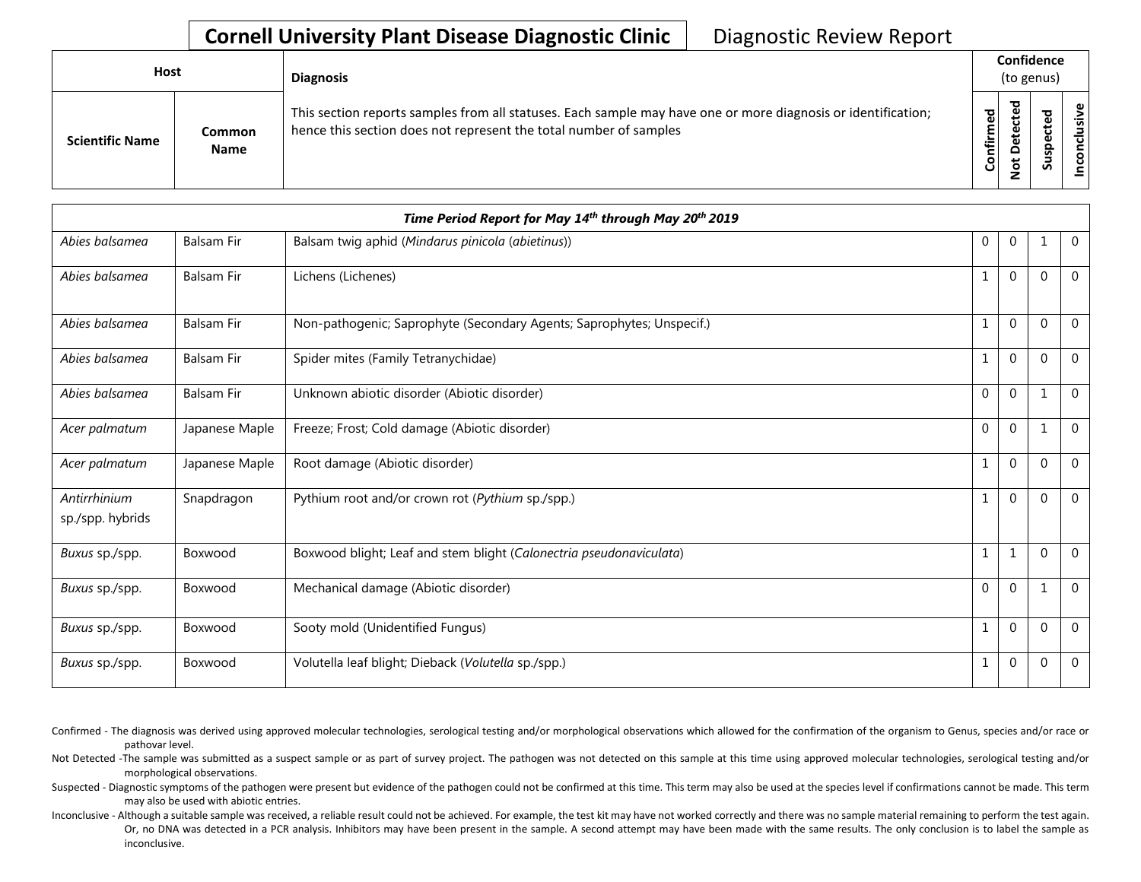| <b>Host</b>            |                       | <b>Diagnosis</b>                                                                                                                                                                   |           |                  | Confidence<br>(to genus) |                           |
|------------------------|-----------------------|------------------------------------------------------------------------------------------------------------------------------------------------------------------------------------|-----------|------------------|--------------------------|---------------------------|
| <b>Scientific Name</b> | Common<br><b>Name</b> | This section reports samples from all statuses. Each sample may have one or more diagnosis or identification;<br>hence this section does not represent the total number of samples | Confirmed | ъ<br>٥<br>پ<br>ۊ | ທ                        | ω<br>usiv<br>᠊ᠣ<br>š<br>S |

|                                  | Time Period Report for May 14th through May 20th 2019 |                                                                       |              |              |              |                |  |  |  |
|----------------------------------|-------------------------------------------------------|-----------------------------------------------------------------------|--------------|--------------|--------------|----------------|--|--|--|
| Abies balsamea                   | <b>Balsam Fir</b>                                     | Balsam twig aphid (Mindarus pinicola (abietinus))                     | $\mathbf{0}$ | $\mathbf{0}$ |              | $\overline{0}$ |  |  |  |
| Abies balsamea                   | <b>Balsam Fir</b>                                     | Lichens (Lichenes)                                                    | 1            | $\mathbf{0}$ | $\Omega$     | $\mathbf{0}$   |  |  |  |
| Abies balsamea                   | <b>Balsam Fir</b>                                     | Non-pathogenic; Saprophyte (Secondary Agents; Saprophytes; Unspecif.) | 1            | $\mathbf{0}$ | $\Omega$     | $\overline{0}$ |  |  |  |
| Abies balsamea                   | <b>Balsam Fir</b>                                     | Spider mites (Family Tetranychidae)                                   | $\mathbf 1$  | $\mathbf 0$  | $\Omega$     | $\overline{0}$ |  |  |  |
| Abies balsamea                   | <b>Balsam Fir</b>                                     | Unknown abiotic disorder (Abiotic disorder)                           | $\mathbf 0$  | $\mathbf{0}$ | $\mathbf{1}$ | $\mathbf{0}$   |  |  |  |
| Acer palmatum                    | Japanese Maple                                        | Freeze; Frost; Cold damage (Abiotic disorder)                         | $\mathbf{0}$ | $\mathbf{0}$ | 1            | $\mathbf{0}$   |  |  |  |
| Acer palmatum                    | Japanese Maple                                        | Root damage (Abiotic disorder)                                        | 1            | $\Omega$     | $\Omega$     | $\mathbf 0$    |  |  |  |
| Antirrhinium<br>sp./spp. hybrids | Snapdragon                                            | Pythium root and/or crown rot (Pythium sp./spp.)                      | 1            | $\Omega$     | $\Omega$     | $\overline{0}$ |  |  |  |
| Buxus sp./spp.                   | Boxwood                                               | Boxwood blight; Leaf and stem blight (Calonectria pseudonaviculata)   | 1            | 1            | $\Omega$     | $\overline{0}$ |  |  |  |
| Buxus sp./spp.                   | Boxwood                                               | Mechanical damage (Abiotic disorder)                                  | $\mathbf{0}$ | $\Omega$     |              | $\mathbf{0}$   |  |  |  |
| Buxus sp./spp.                   | Boxwood                                               | Sooty mold (Unidentified Fungus)                                      | 1            | $\mathbf{0}$ | $\Omega$     | $\mathbf 0$    |  |  |  |
| Buxus sp./spp.                   | Boxwood                                               | Volutella leaf blight; Dieback (Volutella sp./spp.)                   | 1            | $\mathbf{0}$ | $\Omega$     | $\mathbf 0$    |  |  |  |

- Confirmed The diagnosis was derived using approved molecular technologies, serological testing and/or morphological observations which allowed for the confirmation of the organism to Genus, species and/or race or pathovar level.
- Not Detected -The sample was submitted as a suspect sample or as part of survey project. The pathogen was not detected on this sample at this time using approved molecular technologies, serological testing and/or morphological observations.
- Suspected Diagnostic symptoms of the pathogen were present but evidence of the pathogen could not be confirmed at this time. This term may also be used at the species level if confirmations cannot be made. This term may also be used with abiotic entries.
- Inconclusive Although a suitable sample was received, a reliable result could not be achieved. For example, the test kit may have not worked correctly and there was no sample material remaining to perform the test again. Or, no DNA was detected in a PCR analysis. Inhibitors may have been present in the sample. A second attempt may have been made with the same results. The only conclusion is to label the sample as inconclusive.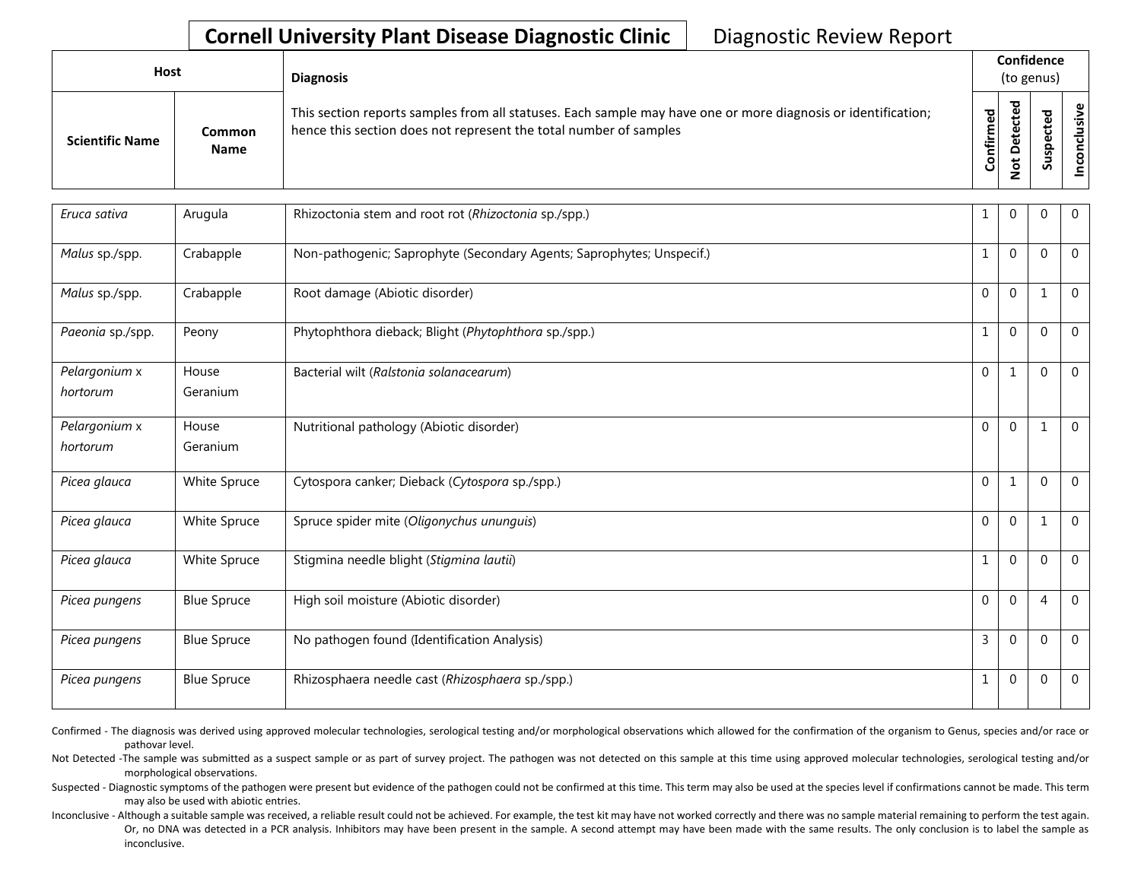| Host                   |                              | <b>Diagnosis</b>                                                                                                                                                                   | (to genus) |                                   | Confidence  |  |  |
|------------------------|------------------------------|------------------------------------------------------------------------------------------------------------------------------------------------------------------------------------|------------|-----------------------------------|-------------|--|--|
| <b>Scientific Name</b> | <b>Common</b><br><b>Name</b> | This section reports samples from all statuses. Each sample may have one or more diagnosis or identification;<br>hence this section does not represent the total number of samples | Confirmed  | ъ<br>υ<br>ىد<br>≏<br>پ<br>$\circ$ | ਠ<br>S<br>n |  |  |

| Eruca sativa              | Arugula            | Rhizoctonia stem and root rot (Rhizoctonia sp./spp.)                  | 1                | $\mathbf{0}$     | $\mathbf 0$    | $\mathbf{0}$   |
|---------------------------|--------------------|-----------------------------------------------------------------------|------------------|------------------|----------------|----------------|
| Malus sp./spp.            | Crabapple          | Non-pathogenic; Saprophyte (Secondary Agents; Saprophytes; Unspecif.) | 1                | $\mathbf 0$      | $\mathbf{0}$   | $\mathbf 0$    |
| Malus sp./spp.            | Crabapple          | Root damage (Abiotic disorder)                                        | 0                | $\boldsymbol{0}$ | $\mathbf{1}$   | $\overline{0}$ |
| Paeonia sp./spp.          | Peony              | Phytophthora dieback; Blight (Phytophthora sp./spp.)                  | 1                | $\mathbf 0$      | $\Omega$       | $\mathbf 0$    |
| Pelargonium x<br>hortorum | House<br>Geranium  | Bacterial wilt (Ralstonia solanacearum)                               | $\mathbf 0$      | 1                | $\Omega$       | $\Omega$       |
| Pelargonium x<br>hortorum | House<br>Geranium  | Nutritional pathology (Abiotic disorder)                              | $\mathbf{0}$     | $\mathbf{0}$     | 1              | $\Omega$       |
| Picea glauca              | White Spruce       | Cytospora canker; Dieback (Cytospora sp./spp.)                        | $\boldsymbol{0}$ | 1                | $\mathbf 0$    | $\mathbf 0$    |
| Picea glauca              | White Spruce       | Spruce spider mite (Oligonychus ununguis)                             | $\mathbf{0}$     | $\mathbf{0}$     | $\mathbf{1}$   | $\Omega$       |
| Picea glauca              | White Spruce       | Stigmina needle blight (Stigmina lautii)                              | $\mathbf{1}$     | $\mathbf 0$      | $\mathbf{0}$   | $\mathbf 0$    |
| Picea pungens             | <b>Blue Spruce</b> | High soil moisture (Abiotic disorder)                                 | 0                | $\mathbf{0}$     | $\overline{4}$ | $\Omega$       |
| Picea pungens             | <b>Blue Spruce</b> | No pathogen found (Identification Analysis)                           | 3                | $\pmb{0}$        | $\mathbf 0$    | $\mathbf 0$    |
| Picea pungens             | <b>Blue Spruce</b> | Rhizosphaera needle cast (Rhizosphaera sp./spp.)                      | 1                | 0                | 0              | $\mathbf 0$    |

Confirmed - The diagnosis was derived using approved molecular technologies, serological testing and/or morphological observations which allowed for the confirmation of the organism to Genus, species and/or race or pathovar level.

Not Detected -The sample was submitted as a suspect sample or as part of survey project. The pathogen was not detected on this sample at this time using approved molecular technologies, serological testing and/or morphological observations.

Suspected - Diagnostic symptoms of the pathogen were present but evidence of the pathogen could not be confirmed at this time. This term may also be used at the species level if confirmations cannot be made. This term may also be used with abiotic entries.

Inconclusive - Although a suitable sample was received, a reliable result could not be achieved. For example, the test kit may have not worked correctly and there was no sample material remaining to perform the test again. Or, no DNA was detected in a PCR analysis. Inhibitors may have been present in the sample. A second attempt may have been made with the same results. The only conclusion is to label the sample as inconclusive.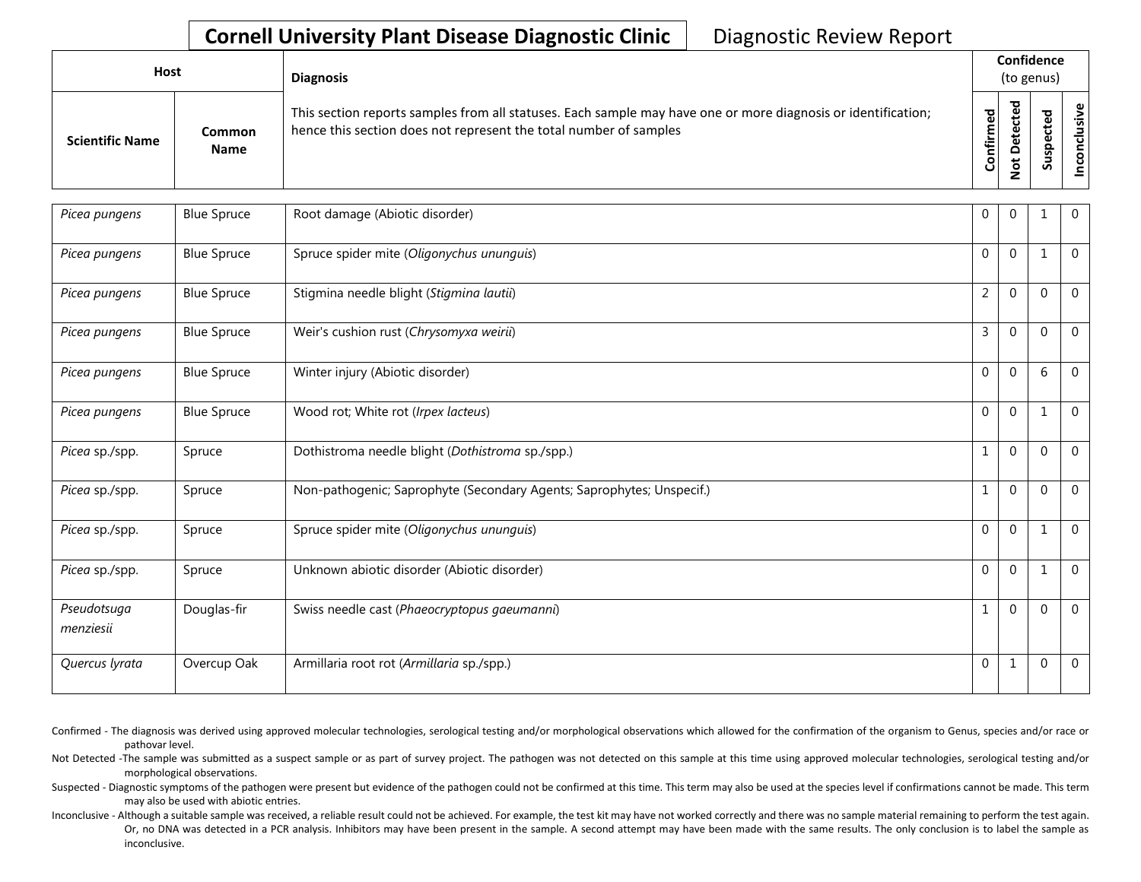| Host                   |                              | <b>Diagnosis</b>                                                                                                                                                                   |               | Confidence<br>(to genus) |                       |                      |  |  |  |  |
|------------------------|------------------------------|------------------------------------------------------------------------------------------------------------------------------------------------------------------------------------|---------------|--------------------------|-----------------------|----------------------|--|--|--|--|
| <b>Scientific Name</b> | <b>Common</b><br><b>Name</b> | This section reports samples from all statuses. Each sample may have one or more diagnosis or identification;<br>hence this section does not represent the total number of samples | 59<br>Confirm | ъ<br>$\Omega$            | ω<br>ω<br>요<br>s<br>Ō | စ္၊<br>$\frac{2}{5}$ |  |  |  |  |

| Picea pungens            | <b>Blue Spruce</b> | Root damage (Abiotic disorder)                                        | 0              | $\mathbf 0$  |              | $\overline{0}$ |
|--------------------------|--------------------|-----------------------------------------------------------------------|----------------|--------------|--------------|----------------|
| Picea pungens            | <b>Blue Spruce</b> | Spruce spider mite (Oligonychus ununguis)                             | $\mathbf{0}$   | $\mathbf{0}$ | 1            | $\overline{0}$ |
| Picea pungens            | <b>Blue Spruce</b> | Stigmina needle blight (Stigmina lautii)                              | $\overline{2}$ | $\mathbf{0}$ | $\Omega$     | $\overline{0}$ |
| Picea pungens            | <b>Blue Spruce</b> | Weir's cushion rust (Chrysomyxa weirii)                               | 3              | $\mathbf{0}$ | $\mathbf 0$  | $\overline{0}$ |
| Picea pungens            | <b>Blue Spruce</b> | Winter injury (Abiotic disorder)                                      | $\mathbf{0}$   | $\mathbf 0$  | 6            | $\overline{0}$ |
| Picea pungens            | <b>Blue Spruce</b> | Wood rot; White rot (Irpex lacteus)                                   | $\mathbf{0}$   | $\mathbf{0}$ | 1            | $\overline{0}$ |
| Picea sp./spp.           | Spruce             | Dothistroma needle blight (Dothistroma sp./spp.)                      |                | $\mathbf 0$  | $\mathbf 0$  | $\overline{0}$ |
| Picea sp./spp.           | Spruce             | Non-pathogenic; Saprophyte (Secondary Agents; Saprophytes; Unspecif.) |                | $\mathbf 0$  | $\Omega$     | $\overline{0}$ |
| Picea sp./spp.           | Spruce             | Spruce spider mite (Oligonychus ununguis)                             | $\mathbf{0}$   | $\mathbf 0$  | $\mathbf{1}$ | $\overline{0}$ |
| Picea sp./spp.           | Spruce             | Unknown abiotic disorder (Abiotic disorder)                           | $\mathbf{0}$   | $\mathbf{0}$ | $\mathbf{1}$ | $\overline{0}$ |
| Pseudotsuga<br>menziesii | Douglas-fir        | Swiss needle cast (Phaeocryptopus gaeumanni)                          |                | $\mathbf{0}$ | $\Omega$     | $\overline{0}$ |
| Quercus lyrata           | Overcup Oak        | Armillaria root rot (Armillaria sp./spp.)                             | $\mathbf{0}$   | 1            | $\mathbf 0$  | $\overline{0}$ |

Confirmed - The diagnosis was derived using approved molecular technologies, serological testing and/or morphological observations which allowed for the confirmation of the organism to Genus, species and/or race or pathovar level.

Not Detected -The sample was submitted as a suspect sample or as part of survey project. The pathogen was not detected on this sample at this time using approved molecular technologies, serological testing and/or morphological observations.

Suspected - Diagnostic symptoms of the pathogen were present but evidence of the pathogen could not be confirmed at this time. This term may also be used at the species level if confirmations cannot be made. This term may also be used with abiotic entries.

Inconclusive - Although a suitable sample was received, a reliable result could not be achieved. For example, the test kit may have not worked correctly and there was no sample material remaining to perform the test again. Or, no DNA was detected in a PCR analysis. Inhibitors may have been present in the sample. A second attempt may have been made with the same results. The only conclusion is to label the sample as inconclusive.